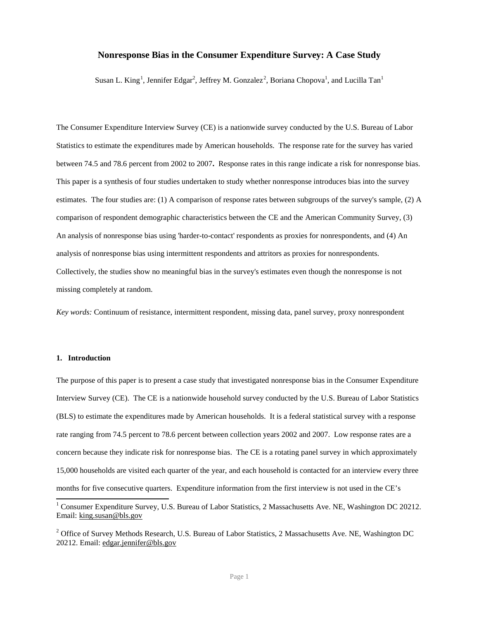# **Nonresponse Bias in the Consumer Expenditure Survey: A Case Study**

Susan L. King<sup>[1](#page-0-0)</sup>, Jennifer Edgar<sup>[2](#page-0-1)</sup>, Jeffrey M. Gonzalez<sup>2</sup>, Boriana Chopova<sup>1</sup>, and Lucilla Tan<sup>1</sup>

The Consumer Expenditure Interview Survey (CE) is a nationwide survey conducted by the U.S. Bureau of Labor Statistics to estimate the expenditures made by American households. The response rate for the survey has varied between 74.5 and 78.6 percent from 2002 to 2007**.** Response rates in this range indicate a risk for nonresponse bias. This paper is a synthesis of four studies undertaken to study whether nonresponse introduces bias into the survey estimates. The four studies are: (1) A comparison of response rates between subgroups of the survey's sample, (2) A comparison of respondent demographic characteristics between the CE and the American Community Survey, (3) An analysis of nonresponse bias using 'harder-to-contact' respondents as proxies for nonrespondents, and (4) An analysis of nonresponse bias using intermittent respondents and attritors as proxies for nonrespondents. Collectively, the studies show no meaningful bias in the survey's estimates even though the nonresponse is not missing completely at random.

*Key words:* Continuum of resistance, intermittent respondent, missing data, panel survey, proxy nonrespondent

## **1. Introduction**

The purpose of this paper is to present a case study that investigated nonresponse bias in the Consumer Expenditure Interview Survey (CE). The CE is a nationwide household survey conducted by the U.S. Bureau of Labor Statistics (BLS) to estimate the expenditures made by American households. It is a federal statistical survey with a response rate ranging from 74.5 percent to 78.6 percent between collection years 2002 and 2007. Low response rates are a concern because they indicate risk for nonresponse bias. The CE is a rotating panel survey in which approximately 15,000 households are visited each quarter of the year, and each household is contacted for an interview every three months for five consecutive quarters. Expenditure information from the first interview is not used in the CE's

<span id="page-0-0"></span><sup>&</sup>lt;sup>1</sup> Consumer Expenditure Survey, U.S. Bureau of Labor Statistics, 2 Massachusetts Ave. NE, Washington DC 20212. Email: king.susan@bls.gov

<span id="page-0-1"></span><sup>&</sup>lt;sup>2</sup> Office of Survey Methods Research, U.S. Bureau of Labor Statistics, 2 Massachusetts Ave. NE, Washington DC 20212. Email: edgar.jennifer@bls.gov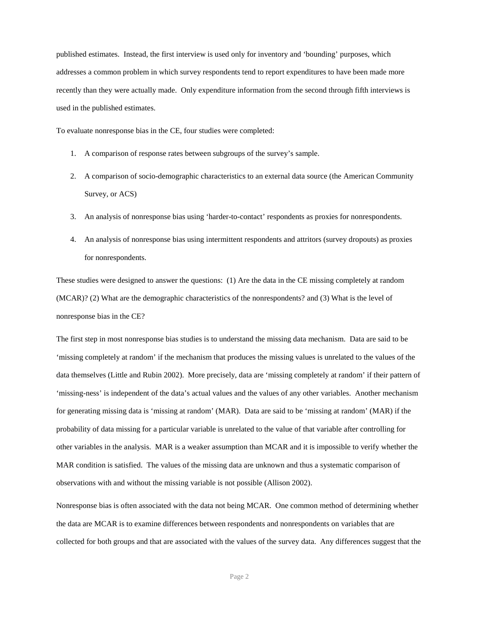published estimates. Instead, the first interview is used only for inventory and 'bounding' purposes, which addresses a common problem in which survey respondents tend to report expenditures to have been made more recently than they were actually made. Only expenditure information from the second through fifth interviews is used in the published estimates.

To evaluate nonresponse bias in the CE, four studies were completed:

- 1. A comparison of response rates between subgroups of the survey's sample.
- 2. A comparison of socio-demographic characteristics to an external data source (the American Community Survey, or ACS)
- 3. An analysis of nonresponse bias using 'harder-to-contact' respondents as proxies for nonrespondents.
- 4. An analysis of nonresponse bias using intermittent respondents and attritors (survey dropouts) as proxies for nonrespondents.

These studies were designed to answer the questions: (1) Are the data in the CE missing completely at random (MCAR)? (2) What are the demographic characteristics of the nonrespondents? and (3) What is the level of nonresponse bias in the CE?

The first step in most nonresponse bias studies is to understand the missing data mechanism. Data are said to be 'missing completely at random' if the mechanism that produces the missing values is unrelated to the values of the data themselves (Little and Rubin 2002). More precisely, data are 'missing completely at random' if their pattern of 'missing-ness' is independent of the data's actual values and the values of any other variables. Another mechanism for generating missing data is 'missing at random' (MAR). Data are said to be 'missing at random' (MAR) if the probability of data missing for a particular variable is unrelated to the value of that variable after controlling for other variables in the analysis. MAR is a weaker assumption than MCAR and it is impossible to verify whether the MAR condition is satisfied. The values of the missing data are unknown and thus a systematic comparison of observations with and without the missing variable is not possible (Allison 2002).

Nonresponse bias is often associated with the data not being MCAR. One common method of determining whether the data are MCAR is to examine differences between respondents and nonrespondents on variables that are collected for both groups and that are associated with the values of the survey data. Any differences suggest that the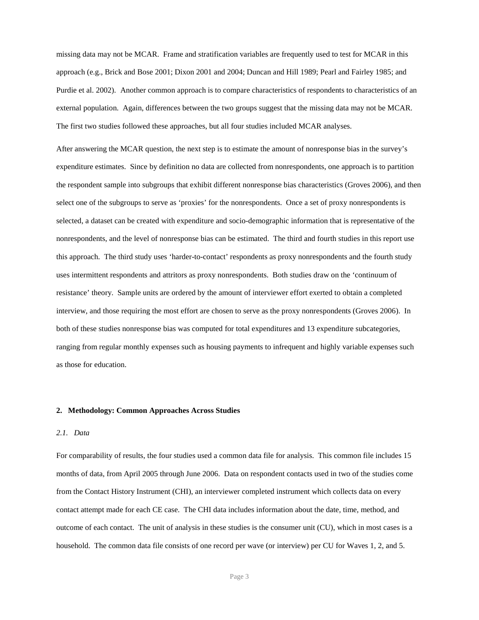missing data may not be MCAR. Frame and stratification variables are frequently used to test for MCAR in this approach (e.g., Brick and Bose 2001; Dixon 2001 and 2004; Duncan and Hill 1989; Pearl and Fairley 1985; and Purdie et al. 2002). Another common approach is to compare characteristics of respondents to characteristics of an external population. Again, differences between the two groups suggest that the missing data may not be MCAR. The first two studies followed these approaches, but all four studies included MCAR analyses.

After answering the MCAR question, the next step is to estimate the amount of nonresponse bias in the survey's expenditure estimates. Since by definition no data are collected from nonrespondents, one approach is to partition the respondent sample into subgroups that exhibit different nonresponse bias characteristics (Groves 2006), and then select one of the subgroups to serve as 'proxies' for the nonrespondents. Once a set of proxy nonrespondents is selected, a dataset can be created with expenditure and socio-demographic information that is representative of the nonrespondents, and the level of nonresponse bias can be estimated. The third and fourth studies in this report use this approach. The third study uses 'harder-to-contact' respondents as proxy nonrespondents and the fourth study uses intermittent respondents and attritors as proxy nonrespondents. Both studies draw on the 'continuum of resistance' theory. Sample units are ordered by the amount of interviewer effort exerted to obtain a completed interview, and those requiring the most effort are chosen to serve as the proxy nonrespondents (Groves 2006). In both of these studies nonresponse bias was computed for total expenditures and 13 expenditure subcategories, ranging from regular monthly expenses such as housing payments to infrequent and highly variable expenses such as those for education.

#### **2. Methodology: Common Approaches Across Studies**

#### *2.1. Data*

For comparability of results, the four studies used a common data file for analysis. This common file includes 15 months of data, from April 2005 through June 2006. Data on respondent contacts used in two of the studies come from the Contact History Instrument (CHI), an interviewer completed instrument which collects data on every contact attempt made for each CE case. The CHI data includes information about the date, time, method, and outcome of each contact. The unit of analysis in these studies is the consumer unit (CU), which in most cases is a household. The common data file consists of one record per wave (or interview) per CU for Waves 1, 2, and 5.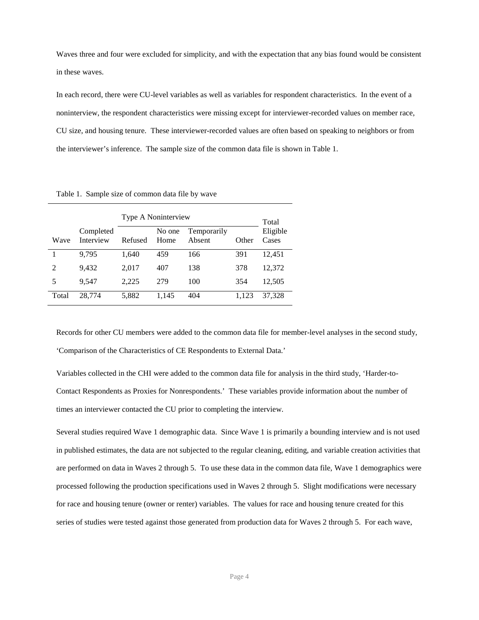Waves three and four were excluded for simplicity, and with the expectation that any bias found would be consistent in these waves.

In each record, there were CU-level variables as well as variables for respondent characteristics. In the event of a noninterview, the respondent characteristics were missing except for interviewer-recorded values on member race, CU size, and housing tenure. These interviewer-recorded values are often based on speaking to neighbors or from the interviewer's inference. The sample size of the common data file is shown in Table 1.

|       |                        | Type A Noninterview | Total          |                       |       |                   |
|-------|------------------------|---------------------|----------------|-----------------------|-------|-------------------|
| Wave  | Completed<br>Interview | Refused             | No one<br>Home | Temporarily<br>Absent | Other | Eligible<br>Cases |
|       | 9.795                  | 1,640               | 459            | 166                   | 391   | 12,451            |
| 2     | 9.432                  | 2,017               | 407            | 138                   | 378   | 12,372            |
| 5     | 9,547                  | 2,225               | 279            | 100                   | 354   | 12,505            |
| Total | 28,774                 | 5,882               | 1,145          | 404                   | 1.123 | 37,328            |

Table 1. Sample size of common data file by wave

Records for other CU members were added to the common data file for member-level analyses in the second study, 'Comparison of the Characteristics of CE Respondents to External Data.'

Variables collected in the CHI were added to the common data file for analysis in the third study, 'Harder-to-Contact Respondents as Proxies for Nonrespondents.' These variables provide information about the number of times an interviewer contacted the CU prior to completing the interview.

Several studies required Wave 1 demographic data. Since Wave 1 is primarily a bounding interview and is not used in published estimates, the data are not subjected to the regular cleaning, editing, and variable creation activities that are performed on data in Waves 2 through 5. To use these data in the common data file, Wave 1 demographics were processed following the production specifications used in Waves 2 through 5. Slight modifications were necessary for race and housing tenure (owner or renter) variables. The values for race and housing tenure created for this series of studies were tested against those generated from production data for Waves 2 through 5. For each wave,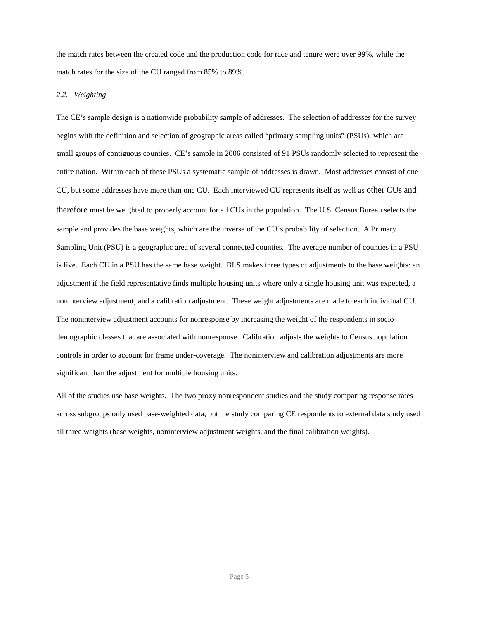the match rates between the created code and the production code for race and tenure were over 99%, while the match rates for the size of the CU ranged from 85% to 89%.

## *2.2. Weighting*

The CE's sample design is a nationwide probability sample of addresses. The selection of addresses for the survey begins with the definition and selection of geographic areas called "primary sampling units" (PSUs), which are small groups of contiguous counties. CE's sample in 2006 consisted of 91 PSUs randomly selected to represent the entire nation. Within each of these PSUs a systematic sample of addresses is drawn*.* Most addresses consist of one CU, but some addresses have more than one CU. Each interviewed CU represents itself as well as other CUs and therefore must be weighted to properly account for all CUs in the population. The U.S. Census Bureau selects the sample and provides the base weights, which are the inverse of the CU's probability of selection. A Primary Sampling Unit (PSU) is a geographic area of several connected counties. The average number of counties in a PSU is five. Each CU in a PSU has the same base weight. BLS makes three types of adjustments to the base weights: an adjustment if the field representative finds multiple housing units where only a single housing unit was expected, a noninterview adjustment; and a calibration adjustment. These weight adjustments are made to each individual CU. The noninterview adjustment accounts for nonresponse by increasing the weight of the respondents in sociodemographic classes that are associated with nonresponse. Calibration adjusts the weights to Census population controls in order to account for frame under-coverage. The noninterview and calibration adjustments are more significant than the adjustment for multiple housing units.

All of the studies use base weights. The two proxy nonrespondent studies and the study comparing response rates across subgroups only used base-weighted data, but the study comparing CE respondents to external data study used all three weights (base weights, noninterview adjustment weights, and the final calibration weights).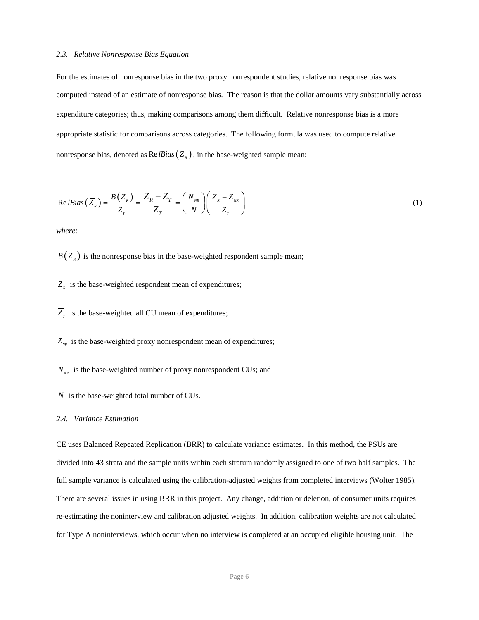### *2.3. Relative Nonresponse Bias Equation*

For the estimates of nonresponse bias in the two proxy nonrespondent studies, relative nonresponse bias was computed instead of an estimate of nonresponse bias. The reason is that the dollar amounts vary substantially across expenditure categories; thus, making comparisons among them difficult. Relative nonresponse bias is a more appropriate statistic for comparisons across categories. The following formula was used to compute relative nonresponse bias, denoted as  $\text{Re }lBias(\overline{Z}_R)$ , in the base-weighted sample mean:

Re*IBias* 
$$
(\overline{Z}_R)
$$
 =  $\frac{B(\overline{Z}_R)}{\overline{Z}_T} = \frac{\overline{Z}_R - \overline{Z}_T}{\overline{Z}_T} = \left(\frac{N_{NR}}{N}\right) \left(\frac{\overline{Z}_R - \overline{Z}_{NR}}{\overline{Z}_T}\right)$  (1)

*where:*

 $B(\overline{Z}_{R})$  is the nonresponse bias in the base-weighted respondent sample mean;

- $Z<sub>R</sub>$  is the base-weighted respondent mean of expenditures;
- $Z<sub>r</sub>$  is the base-weighted all CU mean of expenditures;

 $Z_{\scriptscriptstyle NR}$  is the base-weighted proxy nonrespondent mean of expenditures;

- $N_{_{NR}}$  is the base-weighted number of proxy nonrespondent CUs; and
- is the base-weighted total number of CUs. *N*

#### *2.4. Variance Estimation*

CE uses Balanced Repeated Replication (BRR) to calculate variance estimates. In this method, the PSUs are divided into 43 strata and the sample units within each stratum randomly assigned to one of two half samples. The full sample variance is calculated using the calibration-adjusted weights from completed interviews (Wolter 1985). There are several issues in using BRR in this project. Any change, addition or deletion, of consumer units requires re-estimating the noninterview and calibration adjusted weights. In addition, calibration weights are not calculated for Type A noninterviews, which occur when no interview is completed at an occupied eligible housing unit. The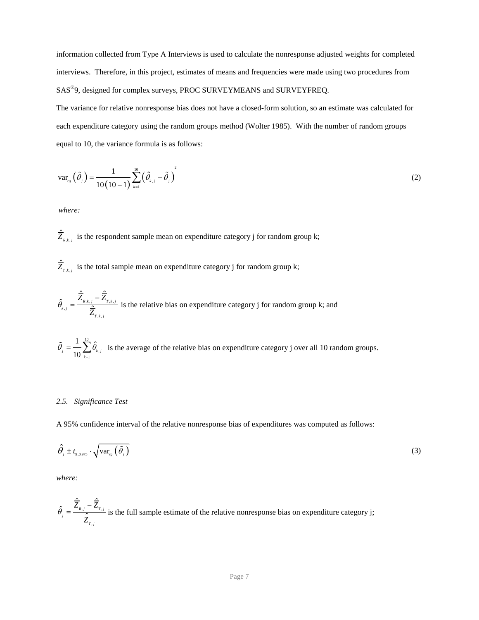information collected from Type A Interviews is used to calculate the nonresponse adjusted weights for completed interviews. Therefore, in this project, estimates of means and frequencies were made using two procedures from SAS<sup>®</sup>9, designed for complex surveys, PROC SURVEYMEANS and SURVEYFREQ.

The variance for relative nonresponse bias does not have a closed-form solution, so an estimate was calculated for each expenditure category using the random groups method (Wolter 1985). With the number of random groups equal to 10, the variance formula is as follows:

$$
\text{var}_{r_{g}}\left(\tilde{\theta}_{j}\right) = \frac{1}{10(10-1)}\sum_{k=1}^{10}\left(\hat{\theta}_{k,j} - \tilde{\theta}_{j}\right)^{2} \tag{2}
$$

*where:*

 $\hat{\overline{Z}}_{k,k,j}$  is the respondent sample mean on expenditure category j for random group k;

 $\hat{\overline{Z}}_{r,k,j}$  is the total sample mean on expenditure category j for random group k;

$$
\hat{\theta}_{k,j} = \frac{\hat{\overline{Z}}_{R,k,j} - \hat{\overline{Z}}_{T,k,j}}{\hat{\overline{Z}}_{T,k,j}}
$$
 is the relative bias on expenditure category j for random group k; and

 is the average of the relative bias on expenditure category j over all 10 random groups. 10  $\frac{1}{1}$   $\frac{1}{k}$ ,  $\frac{1}{\alpha} \sum_{i=1}^{n} \hat{\theta}$  $\frac{1}{k}$  **10**  $\sum_{k=1}^{k}$   $\binom{k}{k}$  $\theta = \rightarrow \theta$  $\widetilde{\theta}_j = \frac{1}{10} \sum_{k=1}^{\infty}$ 

## *2.5. Significance Test*

A 95% confidence interval of the relative nonresponse bias of expenditures was computed as follows:

$$
\hat{\theta}_{j} \pm t_{g,0.975} \cdot \sqrt{\text{var}_{r_{g}}\left(\tilde{\theta}_{j}\right)}
$$
\n(3)

*where:*

$$
\hat{\theta}_j = \frac{\hat{\overline{Z}}_{k,j} - \hat{\overline{Z}}_{T,j}}{\hat{\overline{Z}}_{T,j}}
$$
 is the full sample estimate of the relative nonresponse bias on expenditure category j;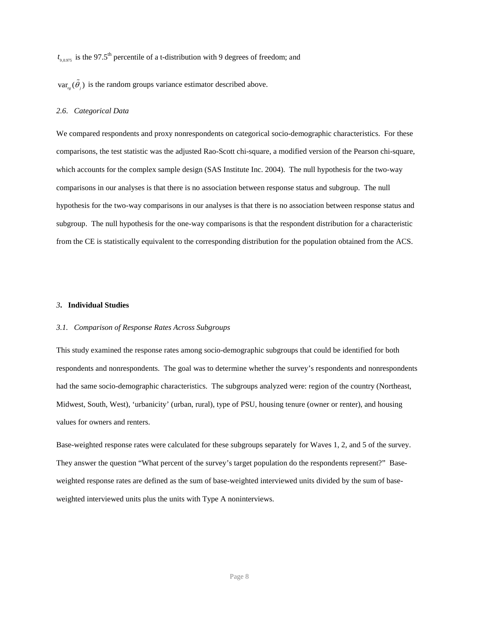$t_{9,0.975}$  is the 97.5<sup>th</sup> percentile of a t-distribution with 9 degrees of freedom; and

 $var_{\mathfrak{g}}(\tilde{\theta}_j)$  is the random groups variance estimator described above.

### *2.6*. *Categorical Data*

We compared respondents and proxy nonrespondents on categorical socio-demographic characteristics. For these comparisons, the test statistic was the adjusted Rao-Scott chi-square, a modified version of the Pearson chi-square, which accounts for the complex sample design (SAS Institute Inc. 2004). The null hypothesis for the two-way comparisons in our analyses is that there is no association between response status and subgroup. The null hypothesis for the two-way comparisons in our analyses is that there is no association between response status and subgroup. The null hypothesis for the one-way comparisons is that the respondent distribution for a characteristic from the CE is statistically equivalent to the corresponding distribution for the population obtained from the ACS.

### *3***. Individual Studies**

#### *3.1. Comparison of Response Rates Across Subgroups*

This study examined the response rates among socio-demographic subgroups that could be identified for both respondents and nonrespondents. The goal was to determine whether the survey's respondents and nonrespondents had the same socio-demographic characteristics. The subgroups analyzed were: region of the country (Northeast, Midwest, South, West), 'urbanicity' (urban, rural), type of PSU, housing tenure (owner or renter), and housing values for owners and renters.

Base-weighted response rates were calculated for these subgroups separately for Waves 1, 2, and 5 of the survey. They answer the question "What percent of the survey's target population do the respondents represent?" Baseweighted response rates are defined as the sum of base-weighted interviewed units divided by the sum of baseweighted interviewed units plus the units with Type A noninterviews.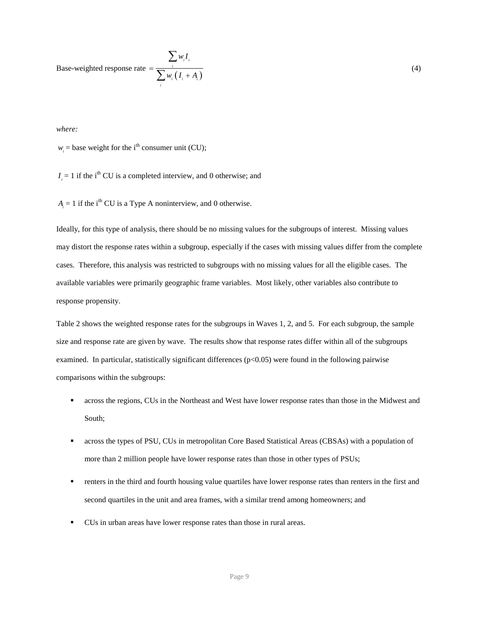Base-weighted response rate 
$$
= \frac{\sum_{i} w_{i} I_{i}}{\sum_{i} w_{i} (I_{i} + A_{i})}
$$
(4)

*where:*

 $w_i$  = base weight for the i<sup>th</sup> consumer unit (CU);

 $I_i = 1$  if the i<sup>th</sup> CU is a completed interview, and 0 otherwise; and

 $A_i = 1$  if the i<sup>th</sup> CU is a Type A noninterview, and 0 otherwise.

Ideally, for this type of analysis, there should be no missing values for the subgroups of interest. Missing values may distort the response rates within a subgroup, especially if the cases with missing values differ from the complete cases. Therefore, this analysis was restricted to subgroups with no missing values for all the eligible cases. The available variables were primarily geographic frame variables. Most likely, other variables also contribute to response propensity.

Table 2 shows the weighted response rates for the subgroups in Waves 1, 2, and 5. For each subgroup, the sample size and response rate are given by wave. The results show that response rates differ within all of the subgroups examined. In particular, statistically significant differences (p<0.05) were found in the following pairwise comparisons within the subgroups:

- across the regions, CUs in the Northeast and West have lower response rates than those in the Midwest and South;
- across the types of PSU, CUs in metropolitan Core Based Statistical Areas (CBSAs) with a population of more than 2 million people have lower response rates than those in other types of PSUs;
- renters in the third and fourth housing value quartiles have lower response rates than renters in the first and second quartiles in the unit and area frames, with a similar trend among homeowners; and
- CUs in urban areas have lower response rates than those in rural areas.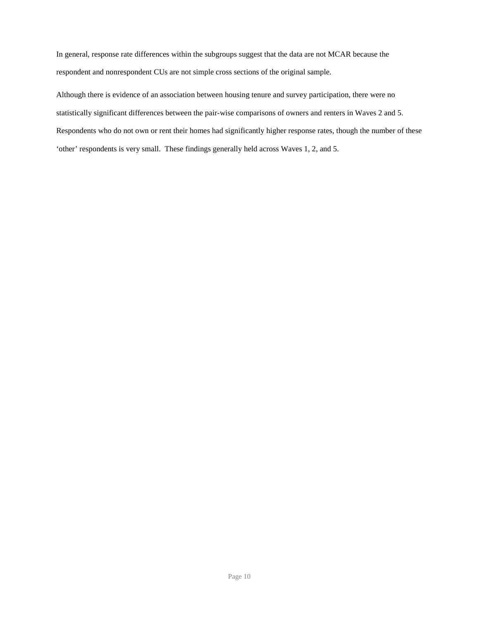In general, response rate differences within the subgroups suggest that the data are not MCAR because the respondent and nonrespondent CUs are not simple cross sections of the original sample.

Although there is evidence of an association between housing tenure and survey participation, there were no statistically significant differences between the pair-wise comparisons of owners and renters in Waves 2 and 5. Respondents who do not own or rent their homes had significantly higher response rates, though the number of these 'other' respondents is very small. These findings generally held across Waves 1, 2, and 5.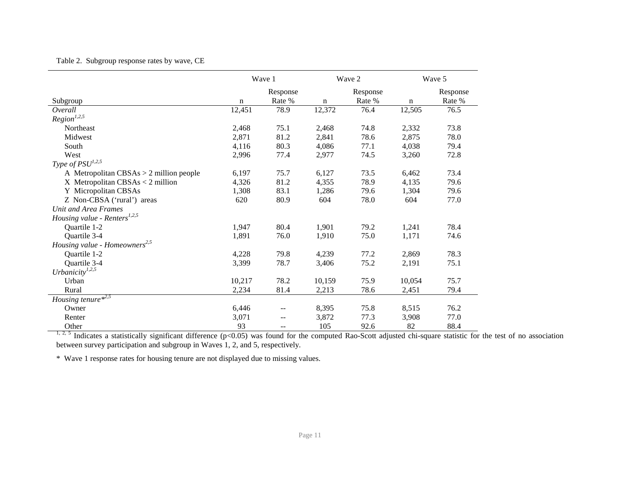| Table 2. Subgroup response rates by wave, CE |  |  |  |
|----------------------------------------------|--|--|--|
|                                              |  |  |  |

|                                           | Wave 1      |          |             | Wave 2   |        | Wave 5   |  |
|-------------------------------------------|-------------|----------|-------------|----------|--------|----------|--|
|                                           |             | Response |             | Response |        | Response |  |
| Subgroup                                  | $\mathbf n$ | Rate %   | $\mathbf n$ | Rate %   | n      | Rate %   |  |
| Overall                                   | 12,451      | 78.9     | 12,372      | 76.4     | 12,505 | 76.5     |  |
| Region <sup>1,2,5</sup>                   |             |          |             |          |        |          |  |
| Northeast                                 | 2,468       | 75.1     | 2,468       | 74.8     | 2,332  | 73.8     |  |
| Midwest                                   | 2,871       | 81.2     | 2,841       | 78.6     | 2,875  | 78.0     |  |
| South                                     | 4,116       | 80.3     | 4,086       | 77.1     | 4,038  | 79.4     |  |
| West                                      | 2,996       | 77.4     | 2,977       | 74.5     | 3,260  | 72.8     |  |
| Type of $PSU^{1,2,5}$                     |             |          |             |          |        |          |  |
| A Metropolitan $CBSAs > 2$ million people | 6,197       | 75.7     | 6,127       | 73.5     | 6,462  | 73.4     |  |
| $X$ Metropolitan CBSAs < 2 million        | 4,326       | 81.2     | 4,355       | 78.9     | 4,135  | 79.6     |  |
| Y Micropolitan CBSAs                      | 1,308       | 83.1     | 1,286       | 79.6     | 1,304  | 79.6     |  |
| Z Non-CBSA ('rural') areas                | 620         | 80.9     | 604         | 78.0     | 604    | 77.0     |  |
| Unit and Area Frames                      |             |          |             |          |        |          |  |
| Housing value - Renters <sup>1,2,5</sup>  |             |          |             |          |        |          |  |
| Quartile 1-2                              | 1,947       | 80.4     | 1,901       | 79.2     | 1,241  | 78.4     |  |
| Quartile 3-4                              | 1,891       | 76.0     | 1,910       | 75.0     | 1,171  | 74.6     |  |
| Housing value - Homeowners <sup>2,5</sup> |             |          |             |          |        |          |  |
| Quartile 1-2                              | 4,228       | 79.8     | 4,239       | 77.2     | 2,869  | 78.3     |  |
| Quartile 3-4                              | 3,399       | 78.7     | 3,406       | 75.2     | 2,191  | 75.1     |  |
| Urbanicity $l^{1,2,5}$                    |             |          |             |          |        |          |  |
| Urban                                     | 10,217      | 78.2     | 10.159      | 75.9     | 10,054 | 75.7     |  |
| Rural                                     | 2,234       | 81.4     | 2,213       | 78.6     | 2,451  | 79.4     |  |
| Housing tenure $*^{2,5}$                  |             |          |             |          |        |          |  |
| Owner                                     | 6,446       |          | 8,395       | 75.8     | 8,515  | 76.2     |  |
| Renter                                    | 3,071       |          | 3,872       | 77.3     | 3,908  | 77.0     |  |
| Other                                     | 93          | $-$      | 105         | 92.6     | 82     | 88.4     |  |

Other 93 -- 105 92.6 82 88.4<br>
<sup>1, 2, 5</sup> Indicates a statistically significant difference (p<0.05) was found for the computed Rao-Scott adjusted chi-square statistic for the test of no association between survey participation and subgroup in Waves 1, 2, and 5, respectively.

\* Wave 1 response rates for housing tenure are not displayed due to missing values.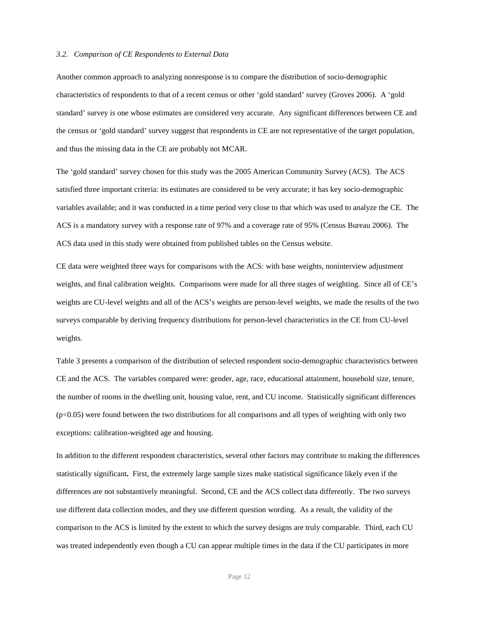### *3.2. Comparison of CE Respondents to External Data*

Another common approach to analyzing nonresponse is to compare the distribution of socio-demographic characteristics of respondents to that of a recent census or other 'gold standard' survey (Groves 2006). A 'gold standard' survey is one whose estimates are considered very accurate. Any significant differences between CE and the census or 'gold standard' survey suggest that respondents in CE are not representative of the target population, and thus the missing data in the CE are probably not MCAR.

The 'gold standard' survey chosen for this study was the 2005 American Community Survey (ACS). The ACS satisfied three important criteria: its estimates are considered to be very accurate; it has key socio-demographic variables available; and it was conducted in a time period very close to that which was used to analyze the CE. The ACS is a mandatory survey with a response rate of 97% and a coverage rate of 95% (Census Bureau 2006). The ACS data used in this study were obtained from published tables on the Census website.

CE data were weighted three ways for comparisons with the ACS: with base weights, noninterview adjustment weights, and final calibration weights. Comparisons were made for all three stages of weighting. Since all of CE's weights are CU-level weights and all of the ACS's weights are person-level weights, we made the results of the two surveys comparable by deriving frequency distributions for person-level characteristics in the CE from CU-level weights.

Table 3 presents a comparison of the distribution of selected respondent socio-demographic characteristics between CE and the ACS. The variables compared were: gender, age, race, educational attainment, household size, tenure, the number of rooms in the dwelling unit, housing value, rent, and CU income. Statistically significant differences  $(p<0.05)$  were found between the two distributions for all comparisons and all types of weighting with only two exceptions: calibration-weighted age and housing.

In addition to the different respondent characteristics, several other factors may contribute to making the differences statistically significant**.** First, the extremely large sample sizes make statistical significance likely even if the differences are not substantively meaningful. Second, CE and the ACS collect data differently. The two surveys use different data collection modes, and they use different question wording. As a result, the validity of the comparison to the ACS is limited by the extent to which the survey designs are truly comparable. Third, each CU was treated independently even though a CU can appear multiple times in the data if the CU participates in more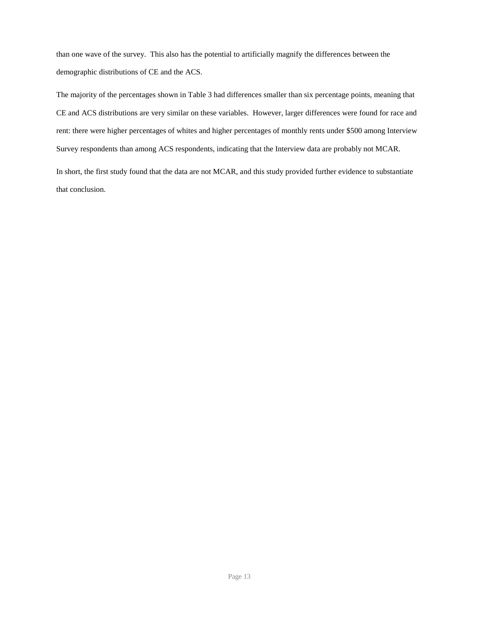than one wave of the survey. This also has the potential to artificially magnify the differences between the demographic distributions of CE and the ACS.

The majority of the percentages shown in Table 3 had differences smaller than six percentage points, meaning that CE and ACS distributions are very similar on these variables. However, larger differences were found for race and rent: there were higher percentages of whites and higher percentages of monthly rents under \$500 among Interview Survey respondents than among ACS respondents, indicating that the Interview data are probably not MCAR. In short, the first study found that the data are not MCAR, and this study provided further evidence to substantiate that conclusion.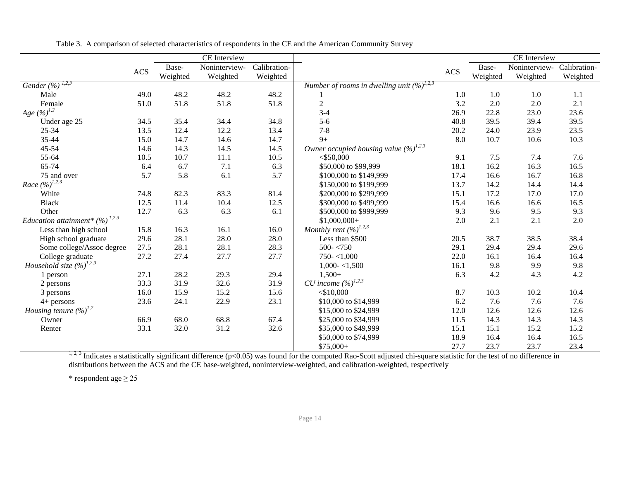|                                     |            |          | CE Interview  |              |                                                          |           |          | CE Interview  |              |
|-------------------------------------|------------|----------|---------------|--------------|----------------------------------------------------------|-----------|----------|---------------|--------------|
|                                     |            | Base-    | Noninterview- | Calibration- |                                                          |           | Base-    | Noninterview- | Calibration- |
|                                     | <b>ACS</b> | Weighted | Weighted      | Weighted     |                                                          | $\rm ACS$ | Weighted | Weighted      | Weighted     |
| Gender $(\frac{9}{6})^{1,2,3}$      |            |          |               |              | Number of rooms in dwelling unit $(\frac{6}{9})^{1,2,3}$ |           |          |               |              |
| Male                                | 49.0       | 48.2     | 48.2          | 48.2         |                                                          | 1.0       | 1.0      | 1.0           | 1.1          |
| Female                              | 51.0       | 51.8     | 51.8          | 51.8         | $\sqrt{2}$                                               | 3.2       | 2.0      | 2.0           | 2.1          |
| Age $(\%)^{1,2}$                    |            |          |               |              | $3-4$                                                    | 26.9      | 22.8     | 23.0          | 23.6         |
| Under age 25                        | 34.5       | 35.4     | 34.4          | 34.8         | $5-6$                                                    | 40.8      | 39.5     | 39.4          | 39.5         |
| 25-34                               | 13.5       | 12.4     | 12.2          | 13.4         | $7 - 8$                                                  | 20.2      | 24.0     | 23.9          | 23.5         |
| 35-44                               | 15.0       | 14.7     | 14.6          | 14.7         | $9+$                                                     | 8.0       | 10.7     | 10.6          | 10.3         |
| 45-54                               | 14.6       | 14.3     | 14.5          | 14.5         | Owner occupied housing value $(\frac{6}{2})^{1,2,3}$     |           |          |               |              |
| 55-64                               | 10.5       | 10.7     | $11.1\,$      | 10.5         | $<$ \$50,000                                             | 9.1       | 7.5      | 7.4           | 7.6          |
| 65-74                               | 6.4        | 6.7      | 7.1           | 6.3          | \$50,000 to \$99,999                                     | 18.1      | 16.2     | 16.3          | 16.5         |
| 75 and over                         | 5.7        | 5.8      | 6.1           | 5.7          | \$100,000 to \$149,999                                   | 17.4      | 16.6     | 16.7          | 16.8         |
| Race $(\%)^{1,2,3}$                 |            |          |               |              | \$150,000 to \$199,999                                   | 13.7      | 14.2     | 14.4          | 14.4         |
| White                               | 74.8       | 82.3     | 83.3          | 81.4         | \$200,000 to \$299,999                                   | 15.1      | 17.2     | 17.0          | 17.0         |
| <b>Black</b>                        | 12.5       | 11.4     | 10.4          | 12.5         | \$300,000 to \$499,999                                   | 15.4      | 16.6     | 16.6          | 16.5         |
| Other                               | 12.7       | 6.3      | 6.3           | 6.1          | \$500,000 to \$999,999                                   | 9.3       | 9.6      | 9.5           | 9.3          |
| Education attainment* $(%)^{1,2,3}$ |            |          |               |              | $$1,000,000+$                                            | 2.0       | 2.1      | 2.1           | 2.0          |
| Less than high school               | 15.8       | 16.3     | 16.1          | 16.0         | Monthly rent $(\%)^{1,2,3}$                              |           |          |               |              |
| High school graduate                | 29.6       | 28.1     | 28.0          | 28.0         | Less than \$500                                          | 20.5      | 38.7     | 38.5          | 38.4         |
| Some college/Assoc degree           | 27.5       | 28.1     | 28.1          | 28.3         | $500 - 750$                                              | 29.1      | 29.4     | 29.4          | 29.6         |
| College graduate                    | 27.2       | 27.4     | 27.7          | 27.7         | $750 - 1,000$                                            | 22.0      | 16.1     | 16.4          | 16.4         |
| Household size $(\%)^{1,2,3}$       |            |          |               |              | $1,000 - 1,500$                                          | 16.1      | 9.8      | 9.9           | 9.8          |
| 1 person                            | 27.1       | 28.2     | 29.3          | 29.4         | $1,500+$                                                 | 6.3       | 4.2      | 4.3           | 4.2          |
| 2 persons                           | 33.3       | 31.9     | 32.6          | 31.9         | CU income $(\%)^{1,2,3}$                                 |           |          |               |              |
| 3 persons                           | 16.0       | 15.9     | 15.2          | 15.6         | $<$ \$10,000                                             | 8.7       | 10.3     | 10.2          | 10.4         |
| $4+$ persons                        | 23.6       | 24.1     | 22.9          | 23.1         | \$10,000 to \$14,999                                     | 6.2       | 7.6      | 7.6           | 7.6          |
| Housing tenure $(\%)^{1,2}$         |            |          |               |              | \$15,000 to \$24,999                                     | 12.0      | 12.6     | 12.6          | 12.6         |
| Owner                               | 66.9       | 68.0     | 68.8          | 67.4         | \$25,000 to \$34,999                                     | 11.5      | 14.3     | 14.3          | 14.3         |
| Renter                              | 33.1       | 32.0     | 31.2          | 32.6         | \$35,000 to \$49,999                                     | 15.1      | 15.1     | 15.2          | 15.2         |
|                                     |            |          |               |              | \$50,000 to \$74,999                                     | 18.9      | 16.4     | 16.4          | 16.5         |
|                                     |            |          |               |              | $$75,000+$                                               | 27.7      | 23.7     | 23.7          | 23.4         |

Table 3. A comparison of selected characteristics of respondents in the CE and the American Community Survey

<sup>1, 2, 3</sup> Indicates a statistically significant difference (p<0.05) was found for the computed Rao-Scott adjusted chi-square statistic for the test of no difference in  $\frac{23.7}{23.600}$ distributions between the ACS and the CE base-weighted, noninterview-weighted, and calibration-weighted, respectively

\* respondent age  $\geq 25$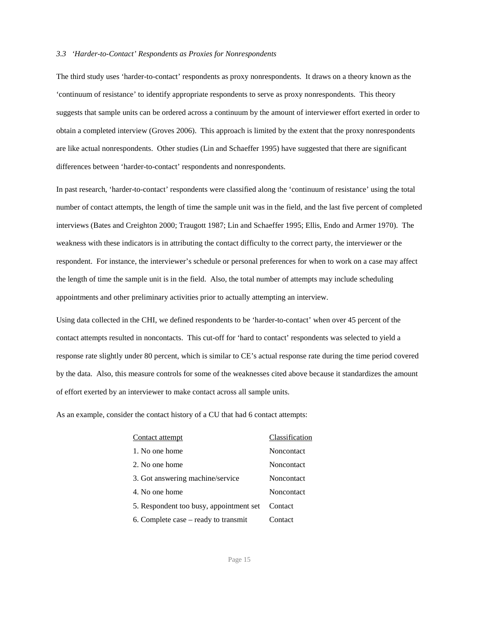### *3.3 'Harder-to-Contact' Respondents as Proxies for Nonrespondents*

The third study uses 'harder-to-contact' respondents as proxy nonrespondents. It draws on a theory known as the 'continuum of resistance' to identify appropriate respondents to serve as proxy nonrespondents. This theory suggests that sample units can be ordered across a continuum by the amount of interviewer effort exerted in order to obtain a completed interview (Groves 2006). This approach is limited by the extent that the proxy nonrespondents are like actual nonrespondents. Other studies (Lin and Schaeffer 1995) have suggested that there are significant differences between 'harder-to-contact' respondents and nonrespondents.

In past research, 'harder-to-contact' respondents were classified along the 'continuum of resistance' using the total number of contact attempts, the length of time the sample unit was in the field, and the last five percent of completed interviews (Bates and Creighton 2000; Traugott 1987; Lin and Schaeffer 1995; Ellis, Endo and Armer 1970). The weakness with these indicators is in attributing the contact difficulty to the correct party, the interviewer or the respondent. For instance, the interviewer's schedule or personal preferences for when to work on a case may affect the length of time the sample unit is in the field. Also, the total number of attempts may include scheduling appointments and other preliminary activities prior to actually attempting an interview.

Using data collected in the CHI, we defined respondents to be 'harder-to-contact' when over 45 percent of the contact attempts resulted in noncontacts. This cut-off for 'hard to contact' respondents was selected to yield a response rate slightly under 80 percent, which is similar to CE's actual response rate during the time period covered by the data. Also, this measure controls for some of the weaknesses cited above because it standardizes the amount of effort exerted by an interviewer to make contact across all sample units.

As an example, consider the contact history of a CU that had 6 contact attempts:

| <b>Contact attempt</b>                  | Classification |
|-----------------------------------------|----------------|
| 1. No one home                          | Noncontact     |
| 2. No one home                          | Noncontact     |
| 3. Got answering machine/service        | Noncontact     |
| 4. No one home                          | Noncontact     |
| 5. Respondent too busy, appointment set | Contact        |
| 6. Complete case – ready to transmit    | Contact        |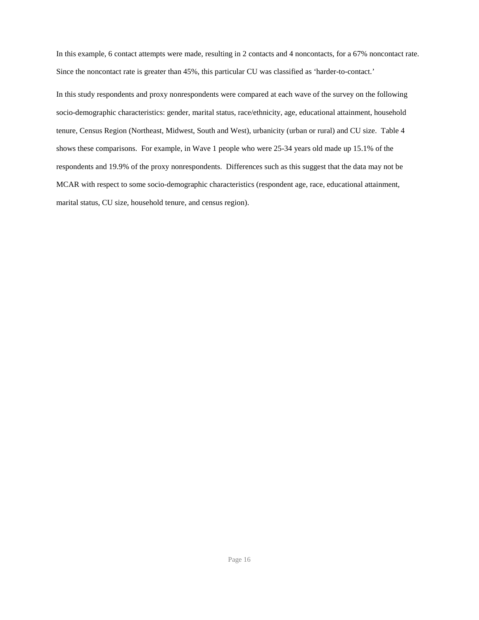In this example, 6 contact attempts were made, resulting in 2 contacts and 4 noncontacts, for a 67% noncontact rate. Since the noncontact rate is greater than 45%, this particular CU was classified as 'harder-to-contact.'

In this study respondents and proxy nonrespondents were compared at each wave of the survey on the following socio-demographic characteristics: gender, marital status, race/ethnicity, age, educational attainment, household tenure, Census Region (Northeast, Midwest, South and West), urbanicity (urban or rural) and CU size. Table 4 shows these comparisons. For example, in Wave 1 people who were 25-34 years old made up 15.1% of the respondents and 19.9% of the proxy nonrespondents. Differences such as this suggest that the data may not be MCAR with respect to some socio-demographic characteristics (respondent age, race, educational attainment, marital status, CU size, household tenure, and census region).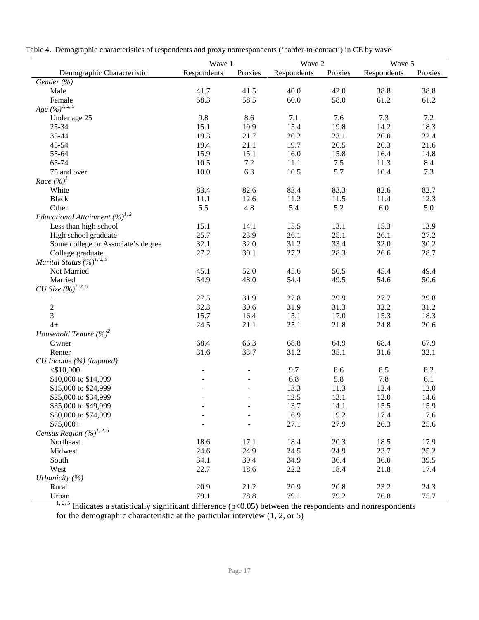|  |  |  | Table 4. Demographic characteristics of respondents and proxy nonrespondents ('harder-to-contact') in CE by wave |  |
|--|--|--|------------------------------------------------------------------------------------------------------------------|--|
|  |  |  |                                                                                                                  |  |

|                                          | Wave 1      |         | Wave 2      |         | Wave 5      |         |
|------------------------------------------|-------------|---------|-------------|---------|-------------|---------|
| Demographic Characteristic               | Respondents | Proxies | Respondents | Proxies | Respondents | Proxies |
| Gender (%)                               |             |         |             |         |             |         |
| Male                                     | 41.7        | 41.5    | 40.0        | 42.0    | 38.8        | 38.8    |
| Female                                   | 58.3        | 58.5    | 60.0        | 58.0    | 61.2        | 61.2    |
| Age $(\frac{6}{9})^{1, 2, 5}$            |             |         |             |         |             |         |
| Under age 25                             | 9.8         | 8.6     | 7.1         | 7.6     | 7.3         | 7.2     |
| 25-34                                    | 15.1        | 19.9    | 15.4        | 19.8    | 14.2        | 18.3    |
| 35-44                                    | 19.3        | 21.7    | 20.2        | 23.1    | 20.0        | 22.4    |
| 45-54                                    | 19.4        | 21.1    | 19.7        | 20.5    | 20.3        | 21.6    |
| 55-64                                    | 15.9        | 15.1    | 16.0        | 15.8    | 16.4        | 14.8    |
| 65-74                                    | 10.5        | $7.2\,$ | 11.1        | $7.5$   | 11.3        | 8.4     |
| 75 and over                              | 10.0        | 6.3     | 10.5        | 5.7     | 10.4        | 7.3     |
| Race $(\%)^1$                            |             |         |             |         |             |         |
| White                                    | 83.4        | 82.6    | 83.4        | 83.3    | 82.6        | 82.7    |
| <b>Black</b>                             | 11.1        | 12.6    | 11.2        | 11.5    | 11.4        | 12.3    |
| Other                                    | 5.5         | 4.8     | 5.4         | 5.2     | 6.0         | 5.0     |
| Educational Attainment $(\%)^{1, 2}$     |             |         |             |         |             |         |
| Less than high school                    | 15.1        | 14.1    | 15.5        | 13.1    | 15.3        | 13.9    |
| High school graduate                     | 25.7        | 23.9    | 26.1        | 25.1    | 26.1        | 27.2    |
| Some college or Associate's degree       | 32.1        | 32.0    |             | 33.4    | 32.0        | 30.2    |
|                                          | 27.2        |         | 31.2        |         |             |         |
| College graduate                         |             | 30.1    | 27.2        | 28.3    | 26.6        | 28.7    |
| Marital Status $(\frac{9}{6})^{1, 2, 5}$ |             |         |             |         |             |         |
| Not Married                              | 45.1        | 52.0    | 45.6        | 50.5    | 45.4        | 49.4    |
| Married                                  | 54.9        | 48.0    | 54.4        | 49.5    | 54.6        | 50.6    |
| CU Size $(\%)^{1, 2, 5}$                 |             |         |             |         |             |         |
| 1                                        | 27.5        | 31.9    | 27.8        | 29.9    | 27.7        | 29.8    |
| $\frac{2}{3}$                            | 32.3        | 30.6    | 31.9        | 31.3    | 32.2        | 31.2    |
|                                          | 15.7        | 16.4    | 15.1        | 17.0    | 15.3        | 18.3    |
| $4+$                                     | 24.5        | 21.1    | 25.1        | 21.8    | 24.8        | 20.6    |
| Household Tenure $(\%)^2$                |             |         |             |         |             |         |
| Owner                                    | 68.4        | 66.3    | 68.8        | 64.9    | 68.4        | 67.9    |
| Renter                                   | 31.6        | 33.7    | 31.2        | 35.1    | 31.6        | 32.1    |
| CU Income (%) (imputed)                  |             |         |             |         |             |         |
| $<$ \$10,000                             |             |         | 9.7         | 8.6     | 8.5         | 8.2     |
| \$10,000 to \$14,999                     |             |         | 6.8         | 5.8     | 7.8         | 6.1     |
| \$15,000 to \$24,999                     |             |         | 13.3        | 11.3    | 12.4        | 12.0    |
| \$25,000 to \$34,999                     |             |         | 12.5        | 13.1    | 12.0        | 14.6    |
| \$35,000 to \$49,999                     |             |         | 13.7        | 14.1    | 15.5        | 15.9    |
| \$50,000 to \$74,999                     |             |         | 16.9        | 19.2    | 17.4        | 17.6    |
| $$75,000+$                               |             |         | 27.1        | 27.9    | 26.3        | 25.6    |
| Census Region $(\%)^{1, 2, 5}$           |             |         |             |         |             |         |
| Northeast                                | 18.6        | 17.1    | 18.4        | 20.3    | 18.5        | 17.9    |
| Midwest                                  | 24.6        | 24.9    | 24.5        | 24.9    | 23.7        | 25.2    |
| South                                    | 34.1        | 39.4    | 34.9        | 36.4    | 36.0        | 39.5    |
| West                                     | 22.7        | 18.6    | 22.2        | 18.4    | 21.8        | 17.4    |
| Urbanicity $(\%)$                        |             |         |             |         |             |         |
| Rural                                    | 20.9        | 21.2    | 20.9        | 20.8    | 23.2        | 24.3    |
| Urban                                    | 79.1        | 78.8    | 79.1        | 79.2    | 76.8        | 75.7    |

<sup>1, 2, 5</sup> Indicates a statistically significant difference ( $p$ <0.05) between the respondents and nonrespondents for the demographic characteristic at the particular interview (1, 2, or 5)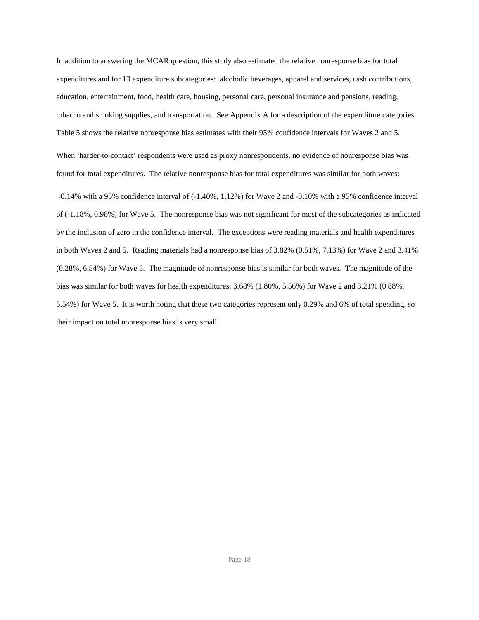In addition to answering the MCAR question, this study also estimated the relative nonresponse bias for total expenditures and for 13 expenditure subcategories: alcoholic beverages, apparel and services, cash contributions, education, entertainment, food, health care, housing, personal care, personal insurance and pensions, reading, tobacco and smoking supplies, and transportation. See Appendix A for a description of the expenditure categories. Table 5 shows the relative nonresponse bias estimates with their 95% confidence intervals for Waves 2 and 5.

When 'harder-to-contact' respondents were used as proxy nonrespondents, no evidence of nonresponse bias was found for total expenditures. The relative nonresponse bias for total expenditures was similar for both waves:

 -0.14% with a 95% confidence interval of (-1.40%, 1.12%) for Wave 2 and -0.10% with a 95% confidence interval of (-1.18%, 0.98%) for Wave 5. The nonresponse bias was not significant for most of the subcategories as indicated by the inclusion of zero in the confidence interval. The exceptions were reading materials and health expenditures in both Waves 2 and 5. Reading materials had a nonresponse bias of 3.82% (0.51%, 7.13%) for Wave 2 and 3.41% (0.28%, 6.54%) for Wave 5. The magnitude of nonresponse bias is similar for both waves. The magnitude of the bias was similar for both waves for health expenditures: 3.68% (1.80%, 5.56%) for Wave 2 and 3.21% (0.88%, 5.54%) for Wave 5. It is worth noting that these two categories represent only 0.29% and 6% of total spending, so their impact on total nonresponse bias is very small.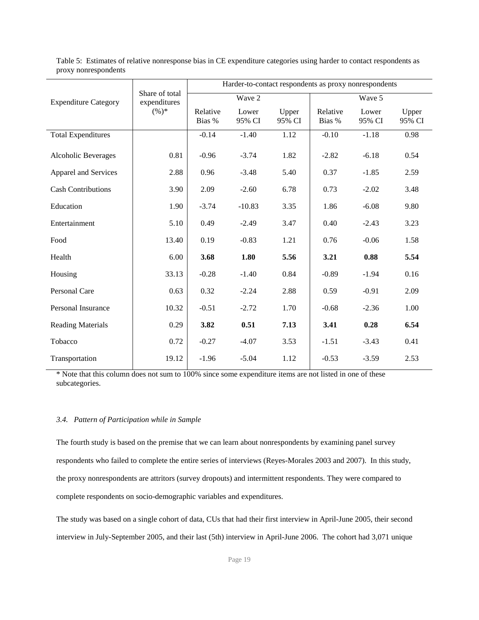|                             |                                | Harder-to-contact respondents as proxy nonrespondents |                 |                 |                    |                 |                 |  |  |
|-----------------------------|--------------------------------|-------------------------------------------------------|-----------------|-----------------|--------------------|-----------------|-----------------|--|--|
| <b>Expenditure Category</b> | Share of total<br>expenditures |                                                       | Wave 2          |                 | Wave 5             |                 |                 |  |  |
|                             | $(\%)^*$                       | Relative<br>Bias %                                    | Lower<br>95% CI | Upper<br>95% CI | Relative<br>Bias % | Lower<br>95% CI | Upper<br>95% CI |  |  |
|                             |                                |                                                       |                 |                 |                    |                 |                 |  |  |
| Total Expenditures          |                                | $-0.14$                                               | $-1.40$         | 1.12            | $-0.10$            | $-1.18$         | 0.98            |  |  |
| Alcoholic Beverages         | 0.81                           | $-0.96$                                               | $-3.74$         | 1.82            | $-2.82$            | $-6.18$         | 0.54            |  |  |
| Apparel and Services        | 2.88                           | 0.96                                                  | $-3.48$         | 5.40            | 0.37               | $-1.85$         | 2.59            |  |  |
| <b>Cash Contributions</b>   | 3.90                           | 2.09                                                  | $-2.60$         | 6.78            | 0.73               | $-2.02$         | 3.48            |  |  |
| Education                   | 1.90                           | $-3.74$                                               | $-10.83$        | 3.35            | 1.86               | $-6.08$         | 9.80            |  |  |
| Entertainment               | 5.10                           | 0.49                                                  | $-2.49$         | 3.47            | 0.40               | $-2.43$         | 3.23            |  |  |
| Food                        | 13.40                          | 0.19                                                  | $-0.83$         | 1.21            | 0.76               | $-0.06$         | 1.58            |  |  |
| Health                      | 6.00                           | 3.68                                                  | 1.80            | 5.56            | 3.21               | 0.88            | 5.54            |  |  |
| Housing                     | 33.13                          | $-0.28$                                               | $-1.40$         | 0.84            | $-0.89$            | $-1.94$         | 0.16            |  |  |
| Personal Care               | 0.63                           | 0.32                                                  | $-2.24$         | 2.88            | 0.59               | $-0.91$         | 2.09            |  |  |
| Personal Insurance          | 10.32                          | $-0.51$                                               | $-2.72$         | 1.70            | $-0.68$            | $-2.36$         | 1.00            |  |  |
| <b>Reading Materials</b>    | 0.29                           | 3.82                                                  | 0.51            | 7.13            | 3.41               | 0.28            | 6.54            |  |  |
| Tobacco                     | 0.72                           | $-0.27$                                               | $-4.07$         | 3.53            | $-1.51$            | $-3.43$         | 0.41            |  |  |
| Transportation              | 19.12                          | $-1.96$                                               | $-5.04$         | 1.12            | $-0.53$            | $-3.59$         | 2.53            |  |  |

Table 5: Estimates of relative nonresponse bias in CE expenditure categories using harder to contact respondents as proxy nonrespondents

\* Note that this column does not sum to 100% since some expenditure items are not listed in one of these subcategories.

## *3.4. Pattern of Participation while in Sample*

The fourth study is based on the premise that we can learn about nonrespondents by examining panel survey respondents who failed to complete the entire series of interviews (Reyes-Morales 2003 and 2007). In this study, the proxy nonrespondents are attritors (survey dropouts) and intermittent respondents. They were compared to complete respondents on socio-demographic variables and expenditures.

The study was based on a single cohort of data, CUs that had their first interview in April-June 2005, their second interview in July-September 2005, and their last (5th) interview in April-June 2006. The cohort had 3,071 unique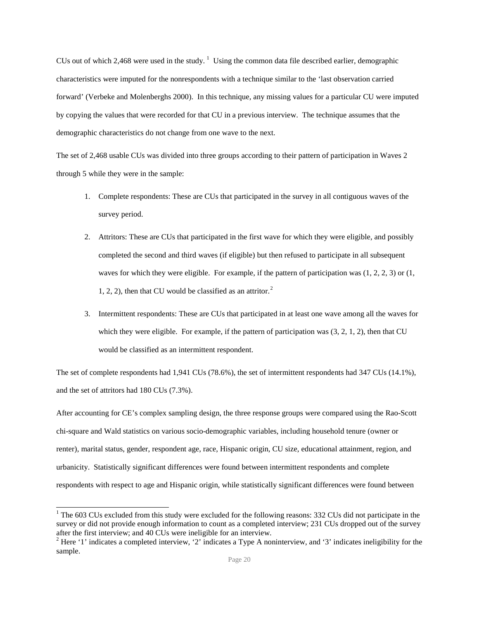CUs out of which 2,468 were used in the study.<sup>[1](#page-19-0)</sup> Using the common data file described earlier, demographic characteristics were imputed for the nonrespondents with a technique similar to the 'last observation carried forward' (Verbeke and Molenberghs 2000). In this technique, any missing values for a particular CU were imputed by copying the values that were recorded for that CU in a previous interview. The technique assumes that the demographic characteristics do not change from one wave to the next.

The set of 2,468 usable CUs was divided into three groups according to their pattern of participation in Waves 2 through 5 while they were in the sample:

- 1. Complete respondents: These are CUs that participated in the survey in all contiguous waves of the survey period.
- 2. Attritors: These are CUs that participated in the first wave for which they were eligible, and possibly completed the second and third waves (if eligible) but then refused to participate in all subsequent waves for which they were eligible. For example, if the pattern of participation was  $(1, 2, 2, 3)$  or  $(1, 2, 2, 3)$ 1, [2](#page-19-1), 2), then that CU would be classified as an attritor.<sup>2</sup>
- 3. Intermittent respondents: These are CUs that participated in at least one wave among all the waves for which they were eligible. For example, if the pattern of participation was  $(3, 2, 1, 2)$ , then that CU would be classified as an intermittent respondent.

The set of complete respondents had 1,941 CUs (78.6%), the set of intermittent respondents had 347 CUs (14.1%), and the set of attritors had 180 CUs (7.3%).

After accounting for CE's complex sampling design, the three response groups were compared using the Rao-Scott chi-square and Wald statistics on various socio-demographic variables, including household tenure (owner or renter), marital status, gender, respondent age, race, Hispanic origin, CU size, educational attainment, region, and urbanicity. Statistically significant differences were found between intermittent respondents and complete respondents with respect to age and Hispanic origin, while statistically significant differences were found between

<span id="page-19-0"></span> $1$  The 603 CUs excluded from this study were excluded for the following reasons: 332 CUs did not participate in the survey or did not provide enough information to count as a completed interview; 231 CUs dropped out of the survey after the first interview; and 40 CUs were ineligible for an interview.<br><sup>2</sup> Here '1' indicates a completed interview, '2' indicates a Type A noninterview, and '3' indicates ineligibility for the

<span id="page-19-1"></span>sample.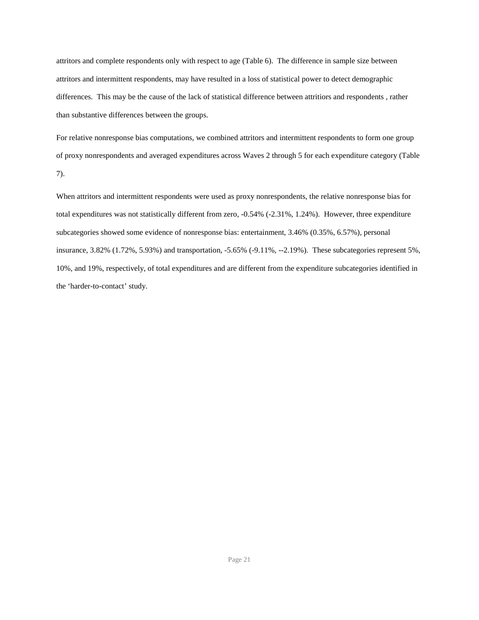attritors and complete respondents only with respect to age (Table 6). The difference in sample size between attritors and intermittent respondents, may have resulted in a loss of statistical power to detect demographic differences. This may be the cause of the lack of statistical difference between attritiors and respondents , rather than substantive differences between the groups.

For relative nonresponse bias computations, we combined attritors and intermittent respondents to form one group of proxy nonrespondents and averaged expenditures across Waves 2 through 5 for each expenditure category (Table 7).

When attritors and intermittent respondents were used as proxy nonrespondents, the relative nonresponse bias for total expenditures was not statistically different from zero, -0.54% (-2.31%, 1.24%). However, three expenditure subcategories showed some evidence of nonresponse bias: entertainment, 3.46% (0.35%, 6.57%), personal insurance, 3.82% (1.72%, 5.93%) and transportation, -5.65% (-9.11%, --2.19%). These subcategories represent 5%, 10%, and 19%, respectively, of total expenditures and are different from the expenditure subcategories identified in the 'harder-to-contact' study.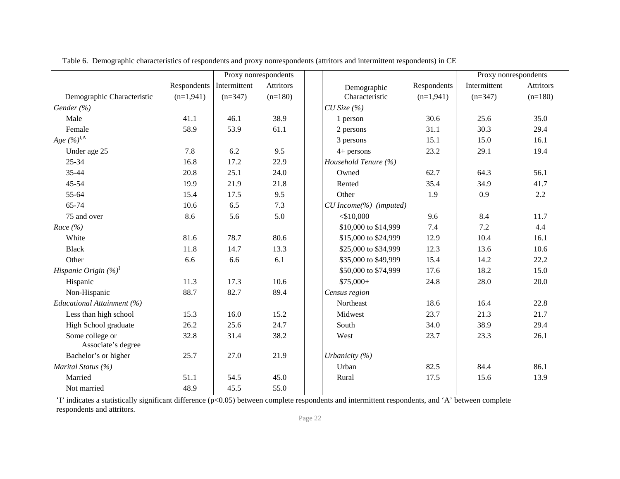|                                       |                          | Proxy nonrespondents |                  |                          |             | Proxy nonrespondents |                  |
|---------------------------------------|--------------------------|----------------------|------------------|--------------------------|-------------|----------------------|------------------|
|                                       | Respondents Intermittent |                      | <b>Attritors</b> | Demographic              | Respondents | Intermittent         | <b>Attritors</b> |
| Demographic Characteristic            | $(n=1,941)$              | $(n=347)$            | $(n=180)$        | Characteristic           | $(n=1,941)$ | $(n=347)$            | $(n=180)$        |
| Gender (%)                            |                          |                      |                  | $CU$ Size $(%$           |             |                      |                  |
| Male                                  | 41.1                     | 46.1                 | 38.9             | 1 person                 | 30.6        | 25.6                 | 35.0             |
| Female                                | 58.9                     | 53.9                 | 61.1             | 2 persons                | 31.1        | 30.3                 | 29.4             |
| Age $(\%)^{\rm I,A}$                  |                          |                      |                  | 3 persons                | 15.1        | 15.0                 | 16.1             |
| Under age 25                          | 7.8                      | 6.2                  | 9.5              | $4+$ persons             | 23.2        | 29.1                 | 19.4             |
| 25-34                                 | 16.8                     | 17.2                 | 22.9             | Household Tenure (%)     |             |                      |                  |
| 35-44                                 | 20.8                     | 25.1                 | 24.0             | Owned                    | 62.7        | 64.3                 | 56.1             |
| 45-54                                 | 19.9                     | 21.9                 | 21.8             | Rented                   | 35.4        | 34.9                 | 41.7             |
| 55-64                                 | 15.4                     | 17.5                 | 9.5              | Other                    | 1.9         | 0.9                  | 2.2              |
| 65-74                                 | 10.6                     | 6.5                  | 7.3              | $CU$ Income(%) (imputed) |             |                      |                  |
| 75 and over                           | 8.6                      | 5.6                  | 5.0              | $<$ \$10,000             | 9.6         | 8.4                  | 11.7             |
| Race $(\% )$                          |                          |                      |                  | \$10,000 to \$14,999     | 7.4         | 7.2                  | 4.4              |
| White                                 | 81.6                     | 78.7                 | 80.6             | \$15,000 to \$24,999     | 12.9        | 10.4                 | 16.1             |
| <b>Black</b>                          | 11.8                     | 14.7                 | 13.3             | \$25,000 to \$34,999     | 12.3        | 13.6                 | 10.6             |
| Other                                 | 6.6                      | 6.6                  | 6.1              | \$35,000 to \$49,999     | 15.4        | 14.2                 | 22.2             |
| Hispanic Origin $(\%)^I$              |                          |                      |                  | \$50,000 to \$74,999     | 17.6        | 18.2                 | 15.0             |
| Hispanic                              | 11.3                     | 17.3                 | 10.6             | $$75,000+$               | 24.8        | 28.0                 | 20.0             |
| Non-Hispanic                          | 88.7                     | 82.7                 | 89.4             | Census region            |             |                      |                  |
| Educational Attainment (%)            |                          |                      |                  | Northeast                | 18.6        | 16.4                 | 22.8             |
| Less than high school                 | 15.3                     | 16.0                 | 15.2             | Midwest                  | 23.7        | 21.3                 | 21.7             |
| High School graduate                  | 26.2                     | 25.6                 | 24.7             | South                    | 34.0        | 38.9                 | 29.4             |
| Some college or<br>Associate's degree | 32.8                     | 31.4                 | 38.2             | West                     | 23.7        | 23.3                 | 26.1             |
| Bachelor's or higher                  | 25.7                     | 27.0                 | 21.9             | Urbanicity $(%)$         |             |                      |                  |
| Marital Status (%)                    |                          |                      |                  | Urban                    | 82.5        | 84.4                 | 86.1             |
| Married                               | 51.1                     | 54.5                 | 45.0             | Rural                    | 17.5        | 15.6                 | 13.9             |
| Not married                           | 48.9                     | 45.5                 | 55.0             |                          |             |                      |                  |

Table 6. Demographic characteristics of respondents and proxy nonrespondents (attritors and intermittent respondents) in CE

'I' indicates a statistically significant difference (p<0.05) between complete respondents and intermittent respondents, and 'A' between complete respondents and attritors.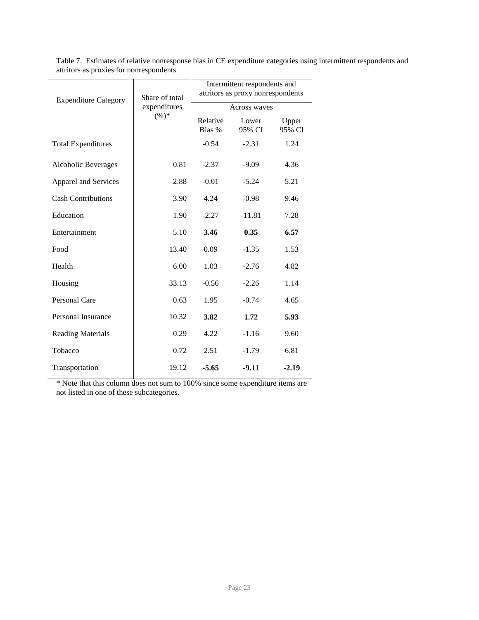| <b>Expenditure Category</b> | Share of total | Intermittent respondents and<br>attritors as proxy nonrespondents |                 |                 |  |  |
|-----------------------------|----------------|-------------------------------------------------------------------|-----------------|-----------------|--|--|
|                             | expenditures   | <b>Across waves</b>                                               |                 |                 |  |  |
|                             | $(\%)^*$       | Relative<br>Bias %                                                | Lower<br>95% CI | Upper<br>95% CI |  |  |
| <b>Total Expenditures</b>   |                | $-0.54$                                                           | $-2.31$         | 1.24            |  |  |
| Alcoholic Beverages         | 0.81           | $-2.37$                                                           | $-9.09$         | 4.36            |  |  |
| Apparel and Services        | 2.88           | $-0.01$                                                           | $-5.24$         | 5.21            |  |  |
| <b>Cash Contributions</b>   | 3.90           | 4.24                                                              | $-0.98$         | 9.46            |  |  |
| Education                   | 1.90           | $-2.27$                                                           | $-11.81$        | 7.28            |  |  |
| Entertainment               | 5.10           | 3.46                                                              | 0.35            | 6.57            |  |  |
| Food                        | 13.40          | 0.09                                                              | $-1.35$         | 1.53            |  |  |
| Health                      | 6.00           | 1.03                                                              | $-2.76$         | 4.82            |  |  |
| Housing                     | 33.13          | $-0.56$                                                           | $-2.26$         | 1.14            |  |  |
| <b>Personal Care</b>        | 0.63           | 1.95                                                              | $-0.74$         | 4.65            |  |  |
| Personal Insurance          | 10.32          | 3.82                                                              | 1.72            | 5.93            |  |  |
| <b>Reading Materials</b>    | 0.29           | 4.22                                                              | $-1.16$         | 9.60            |  |  |
| Tobacco                     | 0.72           | 2.51                                                              | $-1.79$         | 6.81            |  |  |
| Transportation              | 19.12          | $-5.65$                                                           | $-9.11$         | $-2.19$         |  |  |

Table 7. Estimates of relative nonresponse bias in CE expenditure categories using intermittent respondents and attritors as proxies for nonrespondents

\* Note that this column does not sum to 100% since some expenditure items are not listed in one of these subcategories.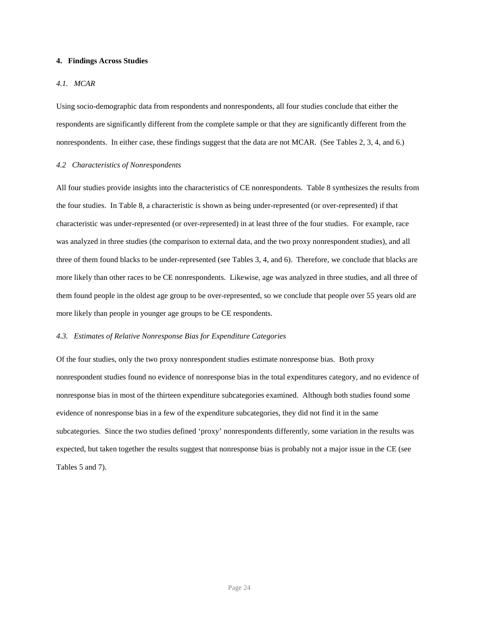## **4. Findings Across Studies**

## *4.1. MCAR*

Using socio-demographic data from respondents and nonrespondents, all four studies conclude that either the respondents are significantly different from the complete sample or that they are significantly different from the nonrespondents. In either case, these findings suggest that the data are not MCAR. (See Tables 2, 3, 4, and 6.)

#### *4.2 Characteristics of Nonrespondents*

All four studies provide insights into the characteristics of CE nonrespondents. Table 8 synthesizes the results from the four studies. In Table 8, a characteristic is shown as being under-represented (or over-represented) if that characteristic was under-represented (or over-represented) in at least three of the four studies. For example, race was analyzed in three studies (the comparison to external data, and the two proxy nonrespondent studies), and all three of them found blacks to be under-represented (see Tables 3, 4, and 6). Therefore, we conclude that blacks are more likely than other races to be CE nonrespondents. Likewise, age was analyzed in three studies, and all three of them found people in the oldest age group to be over-represented, so we conclude that people over 55 years old are more likely than people in younger age groups to be CE respondents.

### *4.3. Estimates of Relative Nonresponse Bias for Expenditure Categories*

Of the four studies, only the two proxy nonrespondent studies estimate nonresponse bias. Both proxy nonrespondent studies found no evidence of nonresponse bias in the total expenditures category, and no evidence of nonresponse bias in most of the thirteen expenditure subcategories examined. Although both studies found some evidence of nonresponse bias in a few of the expenditure subcategories, they did not find it in the same subcategories. Since the two studies defined 'proxy' nonrespondents differently, some variation in the results was expected, but taken together the results suggest that nonresponse bias is probably not a major issue in the CE (see Tables 5 and 7).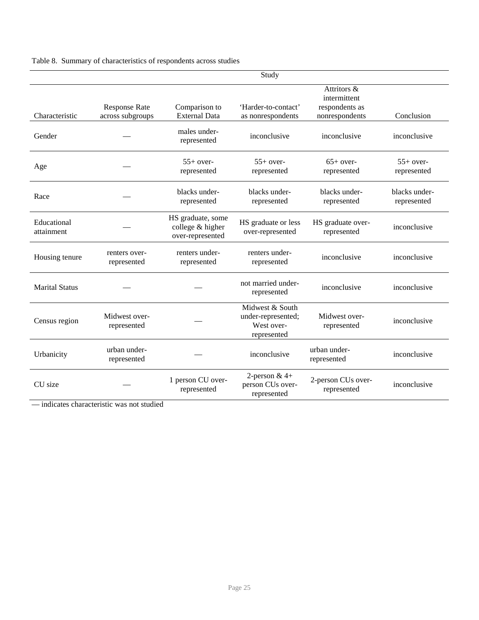|  | Table 8. Summary of characteristics of respondents across studies |  |  |  |  |  |  |
|--|-------------------------------------------------------------------|--|--|--|--|--|--|
|--|-------------------------------------------------------------------|--|--|--|--|--|--|

|                           |                                          |                                                           | Study                                                              |                                                                 |                              |
|---------------------------|------------------------------------------|-----------------------------------------------------------|--------------------------------------------------------------------|-----------------------------------------------------------------|------------------------------|
| Characteristic            | <b>Response Rate</b><br>across subgroups | Comparison to<br><b>External Data</b>                     | 'Harder-to-contact'<br>as nonrespondents                           | Attritors &<br>intermittent<br>respondents as<br>nonrespondents | Conclusion                   |
| Gender                    |                                          | males under-<br>represented                               | inconclusive                                                       | inconclusive                                                    | inconclusive                 |
| Age                       |                                          | $55+$ over-<br>represented                                | $55+$ over-<br>represented                                         | $65+$ over-<br>represented                                      | $55+$ over-<br>represented   |
| Race                      |                                          | blacks under-<br>represented                              | blacks under-<br>represented                                       | blacks under-<br>represented                                    | blacks under-<br>represented |
| Educational<br>attainment |                                          | HS graduate, some<br>college & higher<br>over-represented | HS graduate or less<br>over-represented                            | HS graduate over-<br>represented                                | inconclusive                 |
| Housing tenure            | renters over-<br>represented             | renters under-<br>represented                             | renters under-<br>represented                                      | inconclusive                                                    | inconclusive                 |
| <b>Marital Status</b>     |                                          |                                                           | not married under-<br>represented                                  | inconclusive                                                    | inconclusive                 |
| Census region             | Midwest over-<br>represented             |                                                           | Midwest & South<br>under-represented;<br>West over-<br>represented | Midwest over-<br>represented                                    | inconclusive                 |
| Urbanicity                | urban under-<br>represented              |                                                           | inconclusive                                                       | urban under-<br>represented                                     | inconclusive                 |
| CU size                   |                                          | 1 person CU over-<br>represented                          | 2-person $&4+$<br>person CUs over-<br>represented                  | 2-person CUs over-<br>represented                               | inconclusive                 |

— indicates characteristic was not studied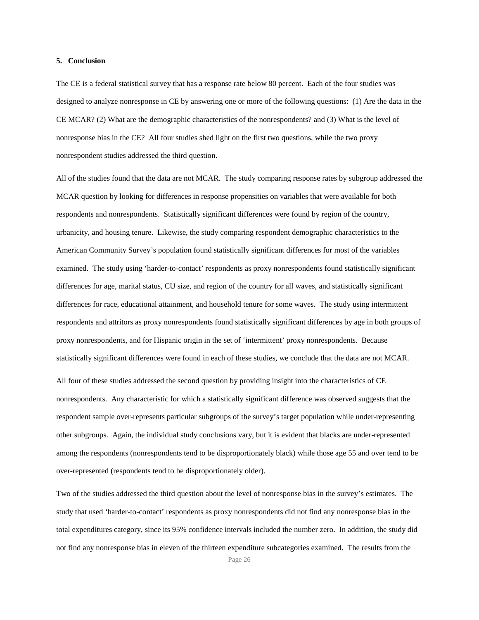## **5. Conclusion**

The CE is a federal statistical survey that has a response rate below 80 percent. Each of the four studies was designed to analyze nonresponse in CE by answering one or more of the following questions: (1) Are the data in the CE MCAR? (2) What are the demographic characteristics of the nonrespondents? and (3) What is the level of nonresponse bias in the CE? All four studies shed light on the first two questions, while the two proxy nonrespondent studies addressed the third question.

All of the studies found that the data are not MCAR. The study comparing response rates by subgroup addressed the MCAR question by looking for differences in response propensities on variables that were available for both respondents and nonrespondents. Statistically significant differences were found by region of the country, urbanicity, and housing tenure. Likewise, the study comparing respondent demographic characteristics to the American Community Survey's population found statistically significant differences for most of the variables examined. The study using 'harder-to-contact' respondents as proxy nonrespondents found statistically significant differences for age, marital status, CU size, and region of the country for all waves, and statistically significant differences for race, educational attainment, and household tenure for some waves. The study using intermittent respondents and attritors as proxy nonrespondents found statistically significant differences by age in both groups of proxy nonrespondents, and for Hispanic origin in the set of 'intermittent' proxy nonrespondents. Because statistically significant differences were found in each of these studies, we conclude that the data are not MCAR. All four of these studies addressed the second question by providing insight into the characteristics of CE nonrespondents. Any characteristic for which a statistically significant difference was observed suggests that the respondent sample over-represents particular subgroups of the survey's target population while under-representing other subgroups. Again, the individual study conclusions vary, but it is evident that blacks are under-represented among the respondents (nonrespondents tend to be disproportionately black) while those age 55 and over tend to be over-represented (respondents tend to be disproportionately older).

Two of the studies addressed the third question about the level of nonresponse bias in the survey's estimates. The study that used 'harder-to-contact' respondents as proxy nonrespondents did not find any nonresponse bias in the total expenditures category, since its 95% confidence intervals included the number zero. In addition, the study did not find any nonresponse bias in eleven of the thirteen expenditure subcategories examined. The results from the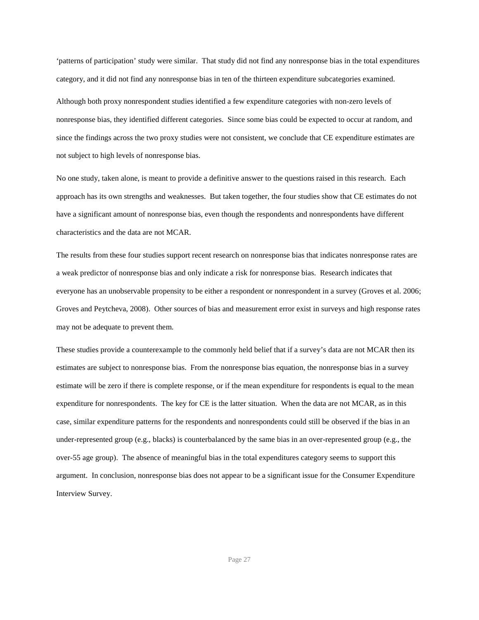'patterns of participation' study were similar. That study did not find any nonresponse bias in the total expenditures category, and it did not find any nonresponse bias in ten of the thirteen expenditure subcategories examined. Although both proxy nonrespondent studies identified a few expenditure categories with non-zero levels of nonresponse bias, they identified different categories. Since some bias could be expected to occur at random, and since the findings across the two proxy studies were not consistent, we conclude that CE expenditure estimates are not subject to high levels of nonresponse bias.

No one study, taken alone, is meant to provide a definitive answer to the questions raised in this research. Each approach has its own strengths and weaknesses. But taken together, the four studies show that CE estimates do not have a significant amount of nonresponse bias, even though the respondents and nonrespondents have different characteristics and the data are not MCAR.

The results from these four studies support recent research on nonresponse bias that indicates nonresponse rates are a weak predictor of nonresponse bias and only indicate a risk for nonresponse bias. Research indicates that everyone has an unobservable propensity to be either a respondent or nonrespondent in a survey (Groves et al. 2006; Groves and Peytcheva, 2008). Other sources of bias and measurement error exist in surveys and high response rates may not be adequate to prevent them.

These studies provide a counterexample to the commonly held belief that if a survey's data are not MCAR then its estimates are subject to nonresponse bias. From the nonresponse bias equation, the nonresponse bias in a survey estimate will be zero if there is complete response, or if the mean expenditure for respondents is equal to the mean expenditure for nonrespondents. The key for CE is the latter situation. When the data are not MCAR, as in this case, similar expenditure patterns for the respondents and nonrespondents could still be observed if the bias in an under-represented group (e.g., blacks) is counterbalanced by the same bias in an over-represented group (e.g., the over-55 age group). The absence of meaningful bias in the total expenditures category seems to support this argument. In conclusion, nonresponse bias does not appear to be a significant issue for the Consumer Expenditure Interview Survey.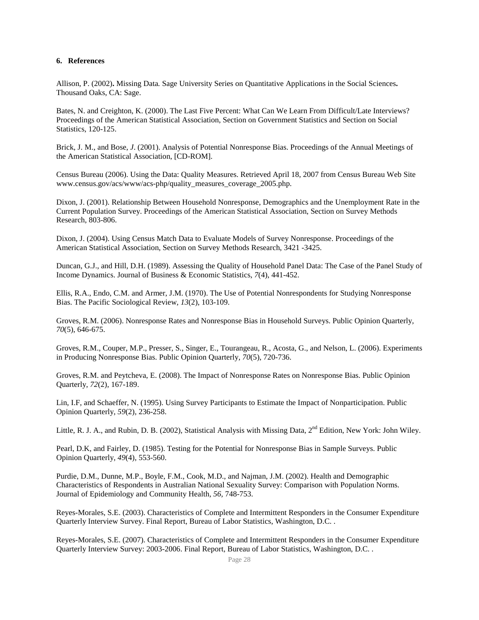## **6. References**

Allison, P. (2002)**.** Missing Data*.* Sage University Series on Quantitative Applications in the Social Sciences**.**  Thousand Oaks, CA: Sage.

Bates, N. and Creighton, K. (2000). The Last Five Percent: What Can We Learn From Difficult/Late Interviews? Proceedings of the American Statistical Association, Section on Government Statistics and Section on Social Statistics, 120-125.

Brick, J. M., and Bose, *J*. (2001). Analysis of Potential Nonresponse Bias. Proceedings of the Annual Meetings of the American Statistical Association, [CD-ROM].

Census Bureau (2006). Using the Data: Quality Measures. Retrieved April 18, 2007 from Census Bureau Web Site [www.census.gov/acs/www/acs-php/quality\\_measures\\_coverage\\_2005.php.](http://www.census.gov/acs/www/acs-php/quality_measures_coverage_2005.php)

Dixon, J. (2001). Relationship Between Household Nonresponse, Demographics and the Unemployment Rate in the Current Population Survey. Proceedings of the American Statistical Association, Section on Survey Methods Research, 803-806.

Dixon, J. (2004). Using Census Match Data to Evaluate Models of Survey Nonresponse. Proceedings of the American Statistical Association, Section on Survey Methods Research, 3421 -3425.

Duncan, G.J., and Hill, D.H. (1989). Assessing the Quality of Household Panel Data: The Case of the Panel Study of Income Dynamics. Journal of Business & Economic Statistics, *7*(4), 441-452.

Ellis, R.A., Endo, C.M. and Armer, J.M. (1970). The Use of Potential Nonrespondents for Studying Nonresponse Bias. The Pacific Sociological Review*, 13*(2), 103-109.

Groves, R.M. (2006). Nonresponse Rates and Nonresponse Bias in Household Surveys. Public Opinion Quarterly*, 70*(5), 646-675.

Groves, R.M., Couper, M.P., Presser, S., Singer, E., Tourangeau, R., Acosta, G., and Nelson, L. (2006). Experiments in Producing Nonresponse Bias. Public Opinion Quarterly*, 70*(5), 720-736.

Groves, R.M. and Peytcheva, E. (2008). The Impact of Nonresponse Rates on Nonresponse Bias. Public Opinion Quarterly, *72*(2), 167-189.

Lin, I.F, and Schaeffer, N. (1995). Using Survey Participants to Estimate the Impact of Nonparticipation. Public Opinion Quarterly, *59*(2), 236-258.

Little, R. J. A., and Rubin, D. B. (2002), Statistical Analysis with Missing Data, 2<sup>nd</sup> Edition, New York: John Wiley.

Pearl, D.K, and Fairley, D. (1985). Testing for the Potential for Nonresponse Bias in Sample Surveys. Public Opinion Quarterly, *49*(4), 553-560.

Purdie, D.M., Dunne, M.P., Boyle, F.M., Cook, M.D., and Najman, J.M. (2002). Health and Demographic Characteristics of Respondents in Australian National Sexuality Survey: Comparison with Population Norms. Journal of Epidemiology and Community Health*, 56,* 748-753.

Reyes-Morales, S.E. (2003). Characteristics of Complete and Intermittent Responders in the Consumer Expenditure Quarterly Interview Survey. Final Report, Bureau of Labor Statistics, Washington, D.C. .

Reyes-Morales, S.E. (2007). Characteristics of Complete and Intermittent Responders in the Consumer Expenditure Quarterly Interview Survey: 2003-2006. Final Report, Bureau of Labor Statistics, Washington, D.C. .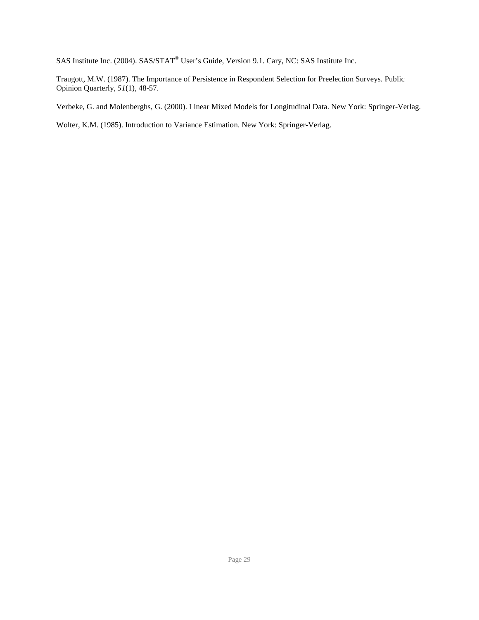SAS Institute Inc. (2004). SAS/STAT<sup>®</sup> User's Guide, Version 9.1. Cary, NC: SAS Institute Inc.

Traugott, M.W. (1987). The Importance of Persistence in Respondent Selection for Preelection Surveys. Public Opinion Quarterly, *51*(1), 48-57.

Verbeke, G. and Molenberghs, G. (2000). Linear Mixed Models for Longitudinal Data. New York: Springer-Verlag.

Wolter, K.M. (1985). Introduction to Variance Estimation. New York: Springer-Verlag.